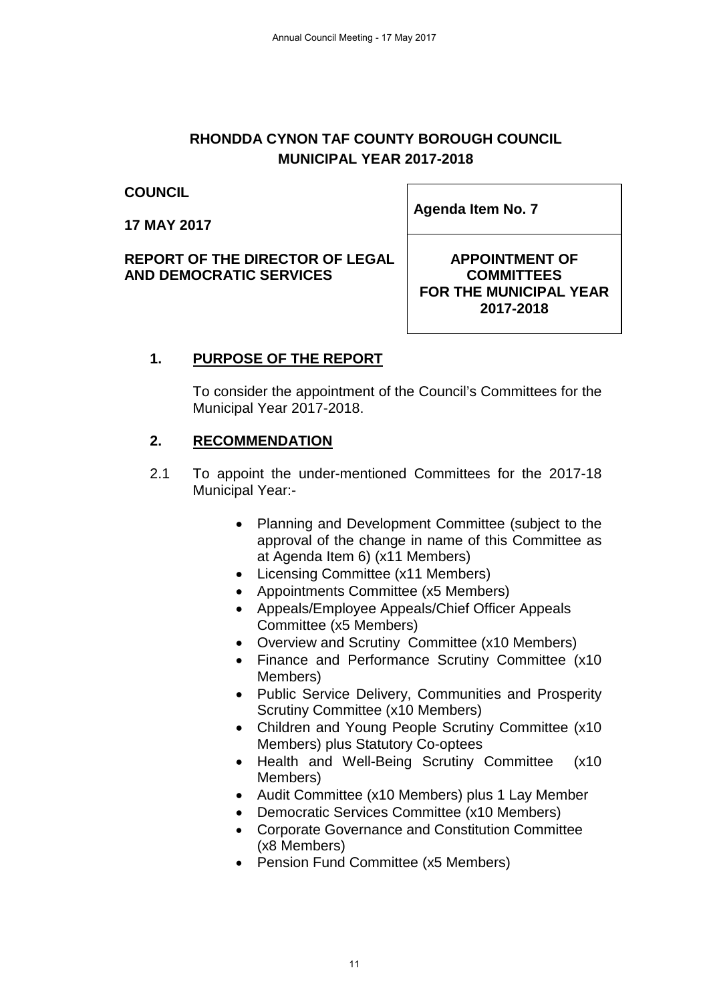# **RHONDDA CYNON TAF COUNTY BOROUGH COUNCIL MUNICIPAL YEAR 2017-2018**

#### **COUNCIL**

**17 MAY 2017**

**REPORT OF THE DIRECTOR OF LEGAL AND DEMOCRATIC SERVICES**

**Agenda Item No. 7** 

### **APPOINTMENT OF COMMITTEES FOR THE MUNICIPAL YEAR 2017-2018**

# **1. PURPOSE OF THE REPORT**

To consider the appointment of the Council's Committees for the Municipal Year 2017-2018.

## **2. RECOMMENDATION**

- 2.1 To appoint the under-mentioned Committees for the 2017-18 Municipal Year:-
	- Planning and Development Committee (subject to the approval of the change in name of this Committee as at Agenda Item 6) (x11 Members)
	- Licensing Committee (x11 Members)
	- Appointments Committee (x5 Members)
	- Appeals/Employee Appeals/Chief Officer Appeals Committee (x5 Members)
	- Overview and Scrutiny Committee (x10 Members)
	- Finance and Performance Scrutiny Committee (x10 Members)
	- Public Service Delivery, Communities and Prosperity Scrutiny Committee (x10 Members)
	- Children and Young People Scrutiny Committee (x10 Members) plus Statutory Co-optees
	- Health and Well-Being Scrutiny Committee (x10 Members)
	- Audit Committee (x10 Members) plus 1 Lay Member
	- Democratic Services Committee (x10 Members)
	- Corporate Governance and Constitution Committee (x8 Members)
	- Pension Fund Committee (x5 Members)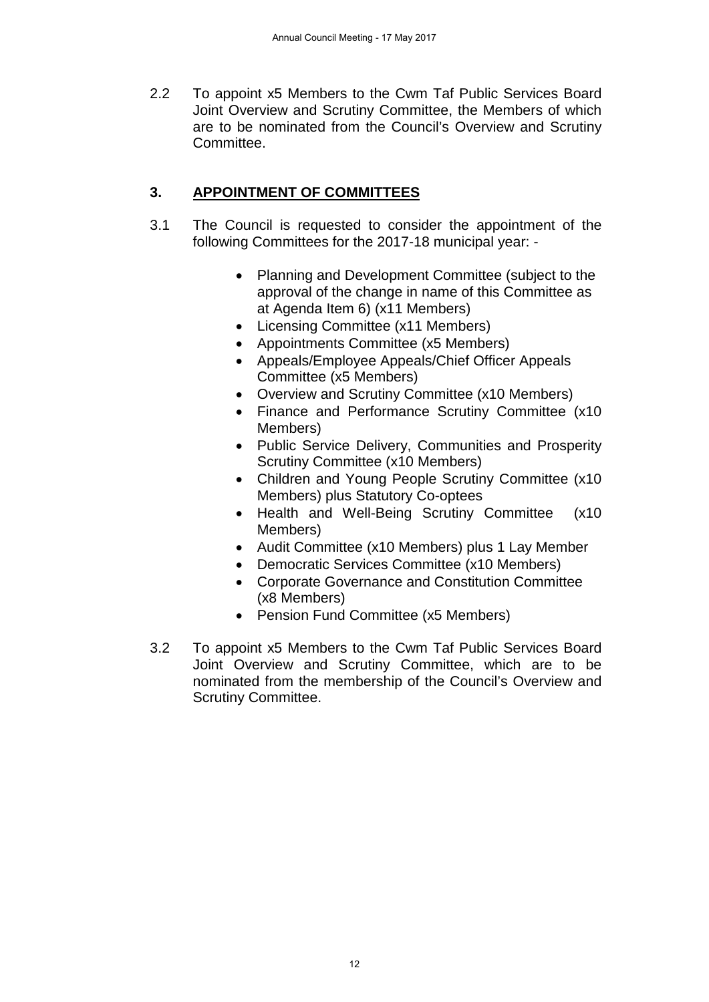2.2 To appoint x5 Members to the Cwm Taf Public Services Board Joint Overview and Scrutiny Committee, the Members of which are to be nominated from the Council's Overview and Scrutiny Committee.

# **3. APPOINTMENT OF COMMITTEES**

- 3.1 The Council is requested to consider the appointment of the following Committees for the 2017-18 municipal year: -
	- Planning and Development Committee (subject to the approval of the change in name of this Committee as at Agenda Item 6) (x11 Members)
	- Licensing Committee (x11 Members)
	- Appointments Committee (x5 Members)
	- Appeals/Employee Appeals/Chief Officer Appeals Committee (x5 Members)
	- Overview and Scrutiny Committee (x10 Members)
	- Finance and Performance Scrutiny Committee (x10 Members)
	- Public Service Delivery, Communities and Prosperity Scrutiny Committee (x10 Members)
	- Children and Young People Scrutiny Committee (x10 Members) plus Statutory Co-optees
	- Health and Well-Being Scrutiny Committee (x10 Members)
	- Audit Committee (x10 Members) plus 1 Lay Member
	- Democratic Services Committee (x10 Members)
	- Corporate Governance and Constitution Committee (x8 Members)
	- Pension Fund Committee (x5 Members)
- 3.2 To appoint x5 Members to the Cwm Taf Public Services Board Joint Overview and Scrutiny Committee, which are to be nominated from the membership of the Council's Overview and Scrutiny Committee.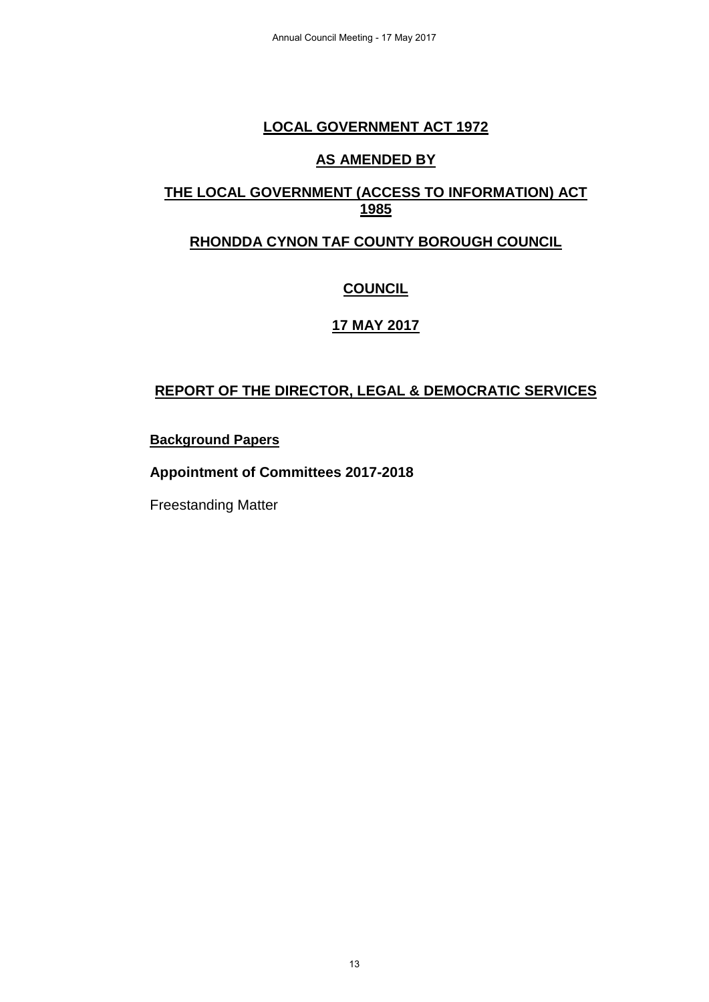### **LOCAL GOVERNMENT ACT 1972**

### **AS AMENDED BY**

## **THE LOCAL GOVERNMENT (ACCESS TO INFORMATION) ACT 1985**

## **RHONDDA CYNON TAF COUNTY BOROUGH COUNCIL**

# **COUNCIL**

# **17 MAY 2017**

# **REPORT OF THE DIRECTOR, LEGAL & DEMOCRATIC SERVICES**

### **Background Papers**

### **Appointment of Committees 2017-2018**

Freestanding Matter